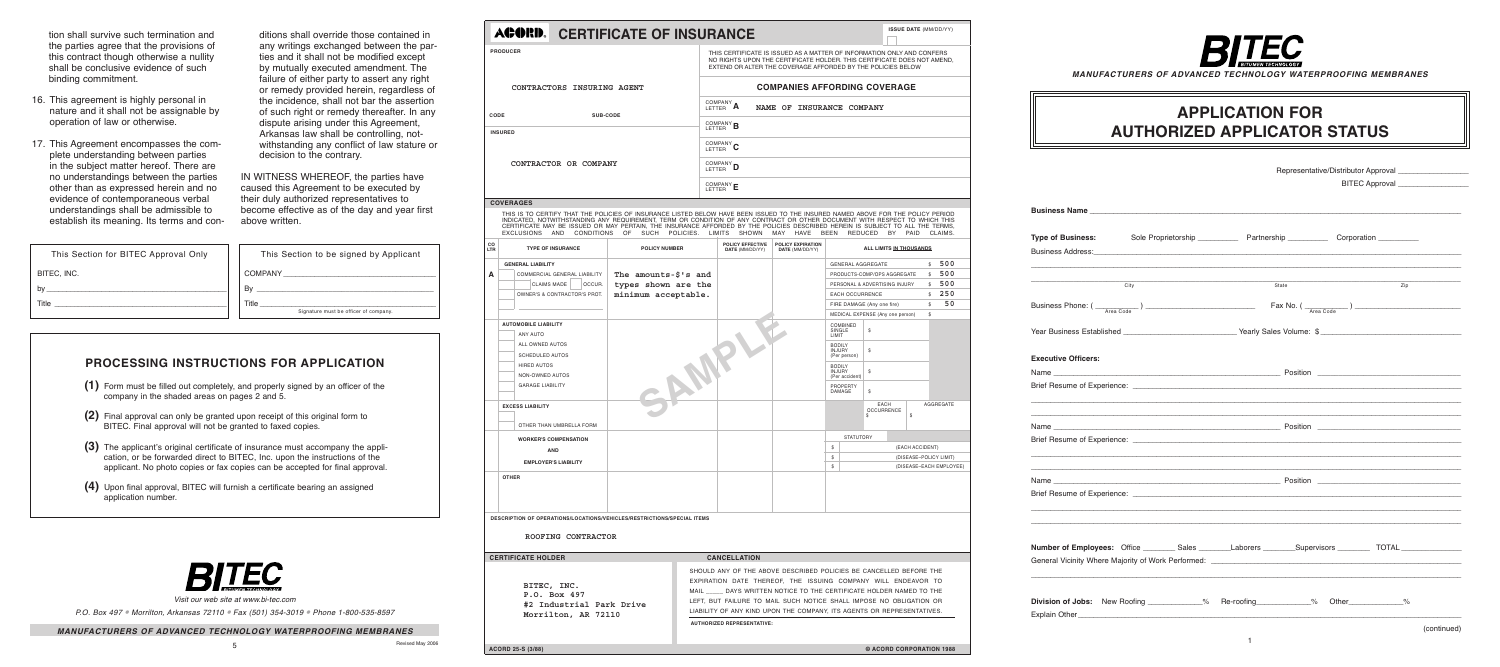*Manufacturers of Advanced Technology Waterproofing Membranes*

| <b>Type of Business:</b>                                                                                                                                                                                                       |      |  |                                                          |                |                   |             |
|--------------------------------------------------------------------------------------------------------------------------------------------------------------------------------------------------------------------------------|------|--|----------------------------------------------------------|----------------|-------------------|-------------|
| Business Address: Note of the Committee of the Committee of the Committee of the Committee of the Committee of the Committee of the Committee of the Committee of the Committee of the Committee of the Committee of the Commi |      |  |                                                          |                |                   |             |
|                                                                                                                                                                                                                                | City |  | State                                                    |                | $\overline{Z}$ ip |             |
|                                                                                                                                                                                                                                |      |  | $\frac{1}{\text{Max No. } (\frac{1}{\text{Area Code}})}$ |                |                   |             |
| Year Business Established ______________________________Yearly Sales Volume: \$________________________________                                                                                                                |      |  |                                                          |                |                   |             |
| <b>Executive Officers:</b>                                                                                                                                                                                                     |      |  |                                                          |                |                   |             |
|                                                                                                                                                                                                                                |      |  |                                                          |                |                   |             |
|                                                                                                                                                                                                                                |      |  |                                                          |                |                   |             |
|                                                                                                                                                                                                                                |      |  |                                                          |                |                   |             |
|                                                                                                                                                                                                                                |      |  |                                                          |                |                   |             |
|                                                                                                                                                                                                                                |      |  |                                                          |                |                   |             |
|                                                                                                                                                                                                                                |      |  |                                                          |                |                   |             |
|                                                                                                                                                                                                                                |      |  |                                                          |                |                   |             |
| Number of Employees: Office _________ Sales ________Laborers __________Supervisors ____________ TOTAL ______________                                                                                                           |      |  |                                                          |                |                   |             |
|                                                                                                                                                                                                                                |      |  |                                                          |                |                   |             |
| Division of Jobs: New Roofing ___________% Re-roofing ___________%                                                                                                                                                             |      |  |                                                          | Other $\sim$ % |                   |             |
|                                                                                                                                                                                                                                |      |  |                                                          |                |                   | (continued) |

THIS IS TO CERTIFY THAT THE POLICIES OF INSURANCE LISTED BELOW HAVE BEEN ISSUED TO THE INSURED NAMED ABOVE FOR THE POLICY PERIOD INDICATED, NOTWITHSTANDING ANY REQUIREMENT, TERM OR CONDITION OF ANY CONTRACT OR OTHER DOCUMENT WITH RESPECT TO WHICH THIS CERTIFICATE MAY BE ISSUED OR MAY PERTAIN, THE INSURANCE AFFORDED BY THE POLICIES DESCRIBED HEREIN IS SUBJECT TO ALL THE TERMS,<br>EXCLUSIONS AND CONDITIONS OF SUCH POLICIES. LIMITS SHOWN MAY HAVE BEEN REDUCED BY PAID CLAIMS.

#### *Manufacturers of Advanced* (continued) *Technology Waterproofing Membranes*

## **ACORD.** CERTIFICATE OF INSURANCE

*Visit our web site at www.bi-tec.com*

*P.O. Box 497* • *Morrilton, Arkansas 72110* • *Fax (501) 354-3019* • *Phone 1-800-535-8597*

tion shall survive such termination and the parties agree that the provisions of this contract though otherwise a nullity shall be conclusive evidence of such binding commitment.

> Revised May 2006 **CORD 25-S (3/88) ACORD 25-S (3/88) © ACORD CORPORATION 1988**



- 16. This agreement is highly personal in nature and it shall not be assignable by operation of law or otherwise.
- 17. This Agreement encompasses the complete understanding between parties in the subject matter hereof. There are no understandings between the parties other than as expressed herein and no evidence of contemporaneous verbal understandings shall be admissible to establish its meaning. Its terms and con-

| $_{\rm co}$<br>LTR | <b>TYPE OF INSURANCE</b>                                                | <b>POLICY NUMBER</b>    | POLICY EFFECTIVE<br>DATE (MM/DD/YY) | POLICY EXPIRATION<br>DATE (MM/DD/YY) |                                                  | ALL LIMITS IN THOUSANDS          |                 |                         |
|--------------------|-------------------------------------------------------------------------|-------------------------|-------------------------------------|--------------------------------------|--------------------------------------------------|----------------------------------|-----------------|-------------------------|
|                    | <b>GENERAL LIABILITY</b>                                                |                         |                                     |                                      | <b>GENERAL AGGREGATE</b>                         |                                  |                 | 500<br>$\mathbb{S}$     |
| A                  | COMMERCIAL GENERAL LIABILITY                                            | The amounts- $$ 's$ and |                                     |                                      |                                                  | PRODUCTS-COMP/OPS AGGREGATE      |                 | 500<br>$^{\circ}$       |
|                    | <b>CLAIMS MADE</b><br>OCCUR.                                            | types shown are the     |                                     |                                      |                                                  | PERSONAL & ADVERTISING INJURY    |                 | 500<br>\$               |
|                    | OWNER'S & CONTRACTOR'S PROT.                                            | minimum acceptable.     |                                     |                                      | <b>EACH OCCURRENCE</b>                           |                                  |                 | 250<br>$\mathbb{S}$     |
|                    |                                                                         |                         |                                     |                                      |                                                  | FIRE DAMAGE (Any one fire)       |                 | 50<br>\$                |
|                    |                                                                         |                         |                                     |                                      |                                                  | MEDICAL EXPENSE (Any one person) |                 | \$                      |
|                    | <b>AUTOMOBILE LIABILITY</b><br>ANY AUTO                                 |                         |                                     |                                      | COMBINED<br>SINGLE<br>LIMIT                      | \$                               |                 |                         |
|                    | ALL OWNED AUTOS<br><b>SCHEDULED AUTOS</b>                               |                         |                                     |                                      | <b>BODILY</b><br><b>INJURY</b><br>(Per person)   | $\$$                             |                 |                         |
|                    | <b>HIRED AUTOS</b><br>NON-OWNED AUTOS                                   |                         |                                     |                                      | <b>BODILY</b><br><b>INJURY</b><br>(Per accident) | $\$$                             |                 |                         |
|                    | <b>GARAGE LIABILITY</b>                                                 |                         |                                     |                                      | PROPERTY<br>DAMAGE                               | \$                               |                 |                         |
|                    | <b>EXCESS LIABILITY</b>                                                 |                         |                                     |                                      |                                                  | EACH<br><b>OCCURRENCE</b><br>\$  | \$              | AGGREGATE               |
|                    | OTHER THAN UMBRELLA FORM                                                |                         |                                     |                                      |                                                  |                                  |                 |                         |
|                    | <b>WORKER'S COMPENSATION</b>                                            |                         |                                     |                                      | <b>STATUTORY</b>                                 |                                  |                 |                         |
|                    | <b>AND</b>                                                              |                         |                                     |                                      | \$                                               |                                  | (EACH ACCIDENT) |                         |
|                    | <b>EMPLOYER'S LIABILITY</b>                                             |                         |                                     |                                      | \$                                               |                                  |                 | (DISEASE-POLICY LIMIT)  |
|                    |                                                                         |                         |                                     |                                      | \$                                               |                                  |                 | (DISEASE-EACH EMPLOYEE) |
|                    | <b>OTHER</b>                                                            |                         |                                     |                                      |                                                  |                                  |                 |                         |
|                    | DESCRIPTION OF OPERATIONS/LOCATIONS/VEHICLES/RESTRICTIONS/SPECIAL ITEMS |                         |                                     |                                      |                                                  |                                  |                 |                         |

ditions shall override those contained in any writings exchanged between the parties and it shall not be modified except by mutually executed amendment. The failure of either party to assert any right or remedy provided herein, regardless of the incidence, shall not bar the assertion of such right or remedy thereafter. In any dispute arising under this Agreement, Arkansas law shall be controlling, notwithstanding any conflict of law stature or decision to the contrary.

IN WITNESS WHEREOF, the parties have caused this Agreement to be executed by their duly authorized representatives to become effective as of the day and year first above written.

| This Section for BITEC Approval Only | This Section to be signed by Applicant         |
|--------------------------------------|------------------------------------------------|
| BITEC, INC.                          | <b>COMPANY</b>                                 |
| by                                   | Bv                                             |
| Title                                | Title<br>Signature must be officer of company. |
|                                      |                                                |

## **APPLICATION FOR AUTHORIZED APPLICATOR STATUS**

## **Processing Instructions for Application**

- **(1)** Form must be filled out completely, and properly signed by an officer of the company in the shaded areas on pages 2 and 5.
- **(2)** Final approval can only be granted upon receipt of this original form to BITEC. Final approval will not be granted to faxed copies.
- **(3)** The applicant's original certificate of insurance must accompany the application, or be forwarded direct to BITEC, Inc. upon the instructions of the applicant. No photo copies or fax copies can be accepted for final approval.
- **(4)** Upon final approval, BITEC will furnish a certificate bearing an assigned application number.



I ONLY AND CONFERS CATE DOES NOT AMEND, CIES BELOW

#### **/ERAGE**

| <b>PRODUCER</b>            | THIS CERTIFICATE IS ISSUED AS A MATTER OF INFORMATION<br>NO RIGHTS UPON THE CERTIFICATE HOLDER. THIS CERTIFIC<br>EXTEND OR ALTER THE COVERAGE AFFORDED BY THE POLI |
|----------------------------|--------------------------------------------------------------------------------------------------------------------------------------------------------------------|
| CONTRACTORS INSURING AGENT | <b>COMPANIES AFFORDING COV</b>                                                                                                                                     |
| SUB-CODE<br>CODE           | COMPANY A<br>NAME OF INSURANCE COMPANY                                                                                                                             |
|                            | COMPANY <b>B</b>                                                                                                                                                   |
| <b>INSURED</b>             |                                                                                                                                                                    |
|                            | COMPANY ~<br>LETTER <b>U</b>                                                                                                                                       |
| CONTRACTOR OR COMPANY      | COMPANY D                                                                                                                                                          |
|                            |                                                                                                                                                                    |

#### **COVERAGES**

#### **ROOFING CONTRACTOR**

#### **CERTIFICATE HOLDER CANCELLATION**

**BITEC, INC. P.O. Box 497 #2 Industrial Park Drive Morrilton, AR 72110**

**authorized representative:**

SHOULD ANY OF THE ABOVE DESCRIBED POLICIES BE CANCELLED BEFORE THE EXPIRATION DATE THEREOF, THE ISSUING COMPANY WILL ENDEAVOR TO MAIL \_\_\_\_\_ DAYS WRITTEN NOTICE TO THE CERTIFICATE HOLDER NAMED TO THE

LEFT, BUT FAILURE TO MAIL SUCH NOTICE SHALL IMPOSE NO OBLIGATION OR LIABILITY OF ANY KIND UPON THE COMPANY, ITS AGENTS OR REPRESENTATIVES.

Revised May 2006